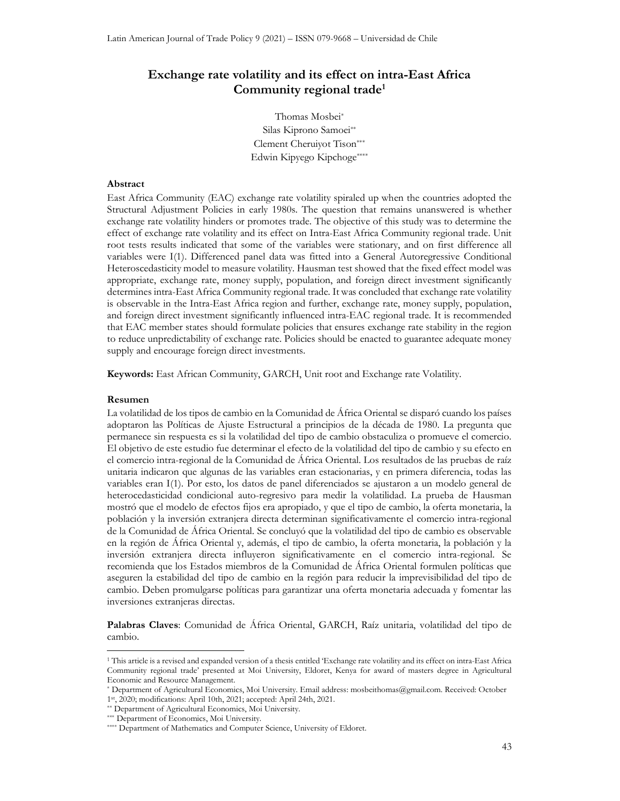# Exchange rate volatility and its effect on intra-East Africa Community regional trade<sup>1</sup>

Thomas Mosbei\* Silas Kiprono Samoei\*\* Clement Cheruiyot Tison\*\*\* Edwin Kipyego Kipchoge\*\*\*\*

### Abstract

East Africa Community (EAC) exchange rate volatility spiraled up when the countries adopted the Structural Adjustment Policies in early 1980s. The question that remains unanswered is whether exchange rate volatility hinders or promotes trade. The objective of this study was to determine the effect of exchange rate volatility and its effect on Intra-East Africa Community regional trade. Unit root tests results indicated that some of the variables were stationary, and on first difference all variables were I(1). Differenced panel data was fitted into a General Autoregressive Conditional Heteroscedasticity model to measure volatility. Hausman test showed that the fixed effect model was appropriate, exchange rate, money supply, population, and foreign direct investment significantly determines intra-East Africa Community regional trade. It was concluded that exchange rate volatility is observable in the Intra-East Africa region and further, exchange rate, money supply, population, and foreign direct investment significantly influenced intra-EAC regional trade. It is recommended that EAC member states should formulate policies that ensures exchange rate stability in the region to reduce unpredictability of exchange rate. Policies should be enacted to guarantee adequate money supply and encourage foreign direct investments.

Keywords: East African Community, GARCH, Unit root and Exchange rate Volatility.

#### Resumen

 $\overline{a}$ 

La volatilidad de los tipos de cambio en la Comunidad de África Oriental se disparó cuando los países adoptaron las Políticas de Ajuste Estructural a principios de la década de 1980. La pregunta que permanece sin respuesta es si la volatilidad del tipo de cambio obstaculiza o promueve el comercio. El objetivo de este estudio fue determinar el efecto de la volatilidad del tipo de cambio y su efecto en el comercio intra-regional de la Comunidad de África Oriental. Los resultados de las pruebas de raíz unitaria indicaron que algunas de las variables eran estacionarias, y en primera diferencia, todas las variables eran I(1). Por esto, los datos de panel diferenciados se ajustaron a un modelo general de heterocedasticidad condicional auto-regresivo para medir la volatilidad. La prueba de Hausman mostró que el modelo de efectos fijos era apropiado, y que el tipo de cambio, la oferta monetaria, la población y la inversión extranjera directa determinan significativamente el comercio intra-regional de la Comunidad de África Oriental. Se concluyó que la volatilidad del tipo de cambio es observable en la región de África Oriental y, además, el tipo de cambio, la oferta monetaria, la población y la inversión extranjera directa influyeron significativamente en el comercio intra-regional. Se recomienda que los Estados miembros de la Comunidad de África Oriental formulen políticas que aseguren la estabilidad del tipo de cambio en la región para reducir la imprevisibilidad del tipo de cambio. Deben promulgarse políticas para garantizar una oferta monetaria adecuada y fomentar las inversiones extranjeras directas.

Palabras Claves: Comunidad de África Oriental, GARCH, Raíz unitaria, volatilidad del tipo de cambio.

<sup>1</sup> This article is a revised and expanded version of a thesis entitled 'Exchange rate volatility and its effect on intra-East Africa Community regional trade' presented at Moi University, Eldoret, Kenya for award of masters degree in Agricultural Economic and Resource Management.

<sup>\*</sup> Department of Agricultural Economics, Moi University. Email address: mosbeithomas@gmail.com. Received: October 1st, 2020; modifications: April 10th, 2021; accepted: April 24th, 2021.

<sup>\*\*</sup> Department of Agricultural Economics, Moi University.

<sup>\*\*\*</sup> Department of Economics, Moi University.

<sup>\*\*\*\*</sup> Department of Mathematics and Computer Science, University of Eldoret.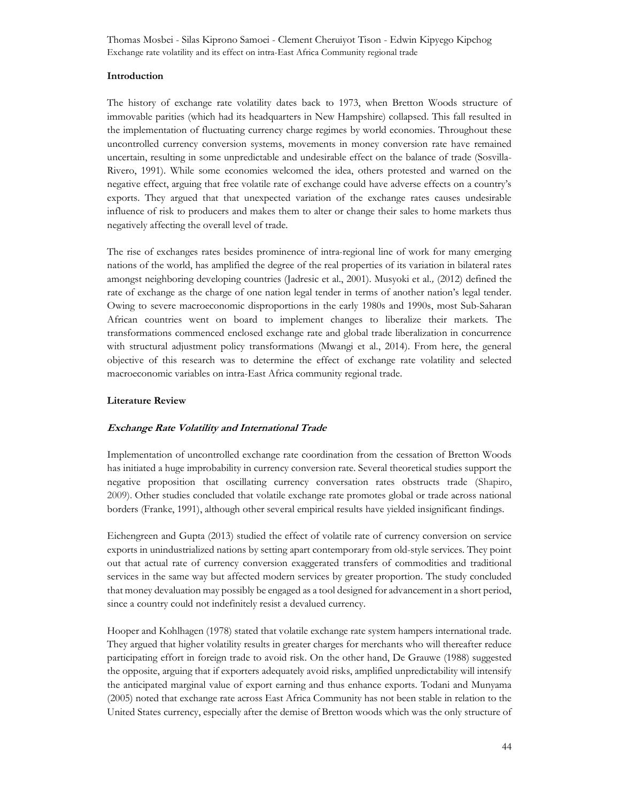### Introduction

The history of exchange rate volatility dates back to 1973, when Bretton Woods structure of immovable parities (which had its headquarters in New Hampshire) collapsed. This fall resulted in the implementation of fluctuating currency charge regimes by world economies. Throughout these uncontrolled currency conversion systems, movements in money conversion rate have remained uncertain, resulting in some unpredictable and undesirable effect on the balance of trade (Sosvilla-Rivero, 1991). While some economies welcomed the idea, others protested and warned on the negative effect, arguing that free volatile rate of exchange could have adverse effects on a country's exports. They argued that that unexpected variation of the exchange rates causes undesirable influence of risk to producers and makes them to alter or change their sales to home markets thus negatively affecting the overall level of trade.

The rise of exchanges rates besides prominence of intra-regional line of work for many emerging nations of the world, has amplified the degree of the real properties of its variation in bilateral rates amongst neighboring developing countries (Jadresic et al., 2001). Musyoki et al., (2012) defined the rate of exchange as the charge of one nation legal tender in terms of another nation's legal tender. Owing to severe macroeconomic disproportions in the early 1980s and 1990s, most Sub-Saharan African countries went on board to implement changes to liberalize their markets. The transformations commenced enclosed exchange rate and global trade liberalization in concurrence with structural adjustment policy transformations (Mwangi et al., 2014). From here, the general objective of this research was to determine the effect of exchange rate volatility and selected macroeconomic variables on intra-East Africa community regional trade.

### Literature Review

# Exchange Rate Volatility and International Trade

Implementation of uncontrolled exchange rate coordination from the cessation of Bretton Woods has initiated a huge improbability in currency conversion rate. Several theoretical studies support the negative proposition that oscillating currency conversation rates obstructs trade (Shapiro, 2009). Other studies concluded that volatile exchange rate promotes global or trade across national borders (Franke, 1991), although other several empirical results have yielded insignificant findings.

Eichengreen and Gupta (2013) studied the effect of volatile rate of currency conversion on service exports in unindustrialized nations by setting apart contemporary from old-style services. They point out that actual rate of currency conversion exaggerated transfers of commodities and traditional services in the same way but affected modern services by greater proportion. The study concluded that money devaluation may possibly be engaged as a tool designed for advancement in a short period, since a country could not indefinitely resist a devalued currency.

Hooper and Kohlhagen (1978) stated that volatile exchange rate system hampers international trade. They argued that higher volatility results in greater charges for merchants who will thereafter reduce participating effort in foreign trade to avoid risk. On the other hand, De Grauwe (1988) suggested the opposite, arguing that if exporters adequately avoid risks, amplified unpredictability will intensify the anticipated marginal value of export earning and thus enhance exports. Todani and Munyama (2005) noted that exchange rate across East Africa Community has not been stable in relation to the United States currency, especially after the demise of Bretton woods which was the only structure of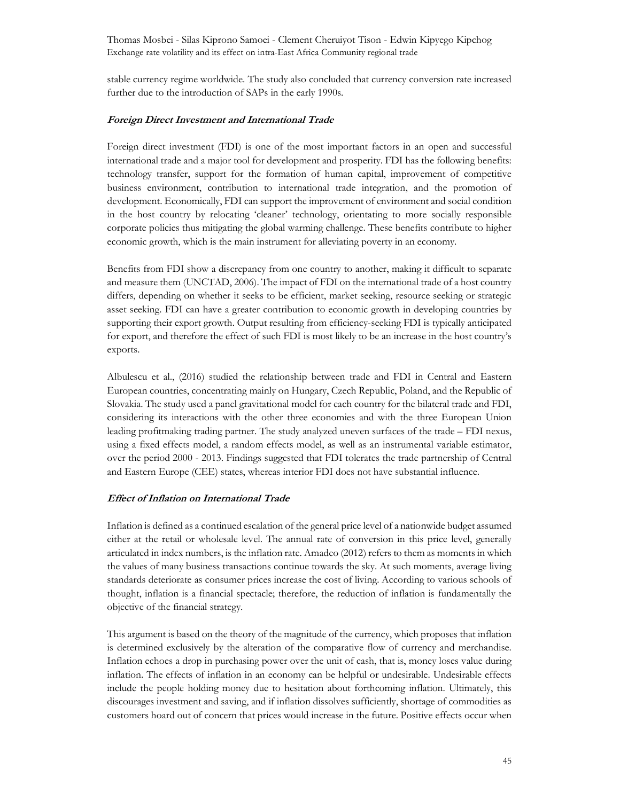stable currency regime worldwide. The study also concluded that currency conversion rate increased further due to the introduction of SAPs in the early 1990s.

#### Foreign Direct Investment and International Trade

Foreign direct investment (FDI) is one of the most important factors in an open and successful international trade and a major tool for development and prosperity. FDI has the following benefits: technology transfer, support for the formation of human capital, improvement of competitive business environment, contribution to international trade integration, and the promotion of development. Economically, FDI can support the improvement of environment and social condition in the host country by relocating 'cleaner' technology, orientating to more socially responsible corporate policies thus mitigating the global warming challenge. These benefits contribute to higher economic growth, which is the main instrument for alleviating poverty in an economy.

Benefits from FDI show a discrepancy from one country to another, making it difficult to separate and measure them (UNCTAD, 2006). The impact of FDI on the international trade of a host country differs, depending on whether it seeks to be efficient, market seeking, resource seeking or strategic asset seeking. FDI can have a greater contribution to economic growth in developing countries by supporting their export growth. Output resulting from efficiency-seeking FDI is typically anticipated for export, and therefore the effect of such FDI is most likely to be an increase in the host country's exports.

Albulescu et al., (2016) studied the relationship between trade and FDI in Central and Eastern European countries, concentrating mainly on Hungary, Czech Republic, Poland, and the Republic of Slovakia. The study used a panel gravitational model for each country for the bilateral trade and FDI, considering its interactions with the other three economies and with the three European Union leading profitmaking trading partner. The study analyzed uneven surfaces of the trade – FDI nexus, using a fixed effects model, a random effects model, as well as an instrumental variable estimator, over the period 2000 - 2013. Findings suggested that FDI tolerates the trade partnership of Central and Eastern Europe (CEE) states, whereas interior FDI does not have substantial influence.

#### Effect of Inflation on International Trade

Inflation is defined as a continued escalation of the general price level of a nationwide budget assumed either at the retail or wholesale level. The annual rate of conversion in this price level, generally articulated in index numbers, is the inflation rate. Amadeo (2012) refers to them as moments in which the values of many business transactions continue towards the sky. At such moments, average living standards deteriorate as consumer prices increase the cost of living. According to various schools of thought, inflation is a financial spectacle; therefore, the reduction of inflation is fundamentally the objective of the financial strategy.

This argument is based on the theory of the magnitude of the currency, which proposes that inflation is determined exclusively by the alteration of the comparative flow of currency and merchandise. Inflation echoes a drop in purchasing power over the unit of cash, that is, money loses value during inflation. The effects of inflation in an economy can be helpful or undesirable. Undesirable effects include the people holding money due to hesitation about forthcoming inflation. Ultimately, this discourages investment and saving, and if inflation dissolves sufficiently, shortage of commodities as customers hoard out of concern that prices would increase in the future. Positive effects occur when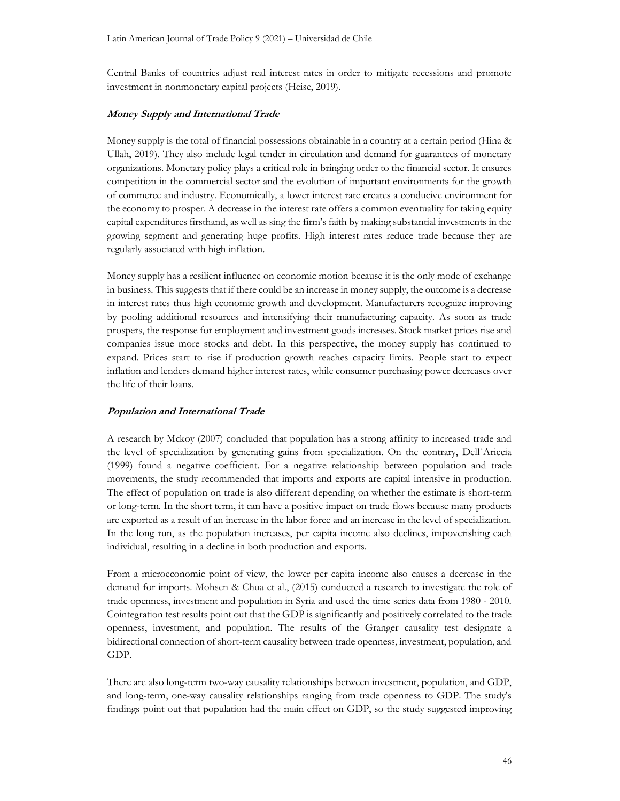Central Banks of countries adjust real interest rates in order to mitigate recessions and promote investment in nonmonetary capital projects (Heise, 2019).

### Money Supply and International Trade

Money supply is the total of financial possessions obtainable in a country at a certain period (Hina & Ullah, 2019). They also include legal tender in circulation and demand for guarantees of monetary organizations. Monetary policy plays a critical role in bringing order to the financial sector. It ensures competition in the commercial sector and the evolution of important environments for the growth of commerce and industry. Economically, a lower interest rate creates a conducive environment for the economy to prosper. A decrease in the interest rate offers a common eventuality for taking equity capital expenditures firsthand, as well as sing the firm's faith by making substantial investments in the growing segment and generating huge profits. High interest rates reduce trade because they are regularly associated with high inflation.

Money supply has a resilient influence on economic motion because it is the only mode of exchange in business. This suggests that if there could be an increase in money supply, the outcome is a decrease in interest rates thus high economic growth and development. Manufacturers recognize improving by pooling additional resources and intensifying their manufacturing capacity. As soon as trade prospers, the response for employment and investment goods increases. Stock market prices rise and companies issue more stocks and debt. In this perspective, the money supply has continued to expand. Prices start to rise if production growth reaches capacity limits. People start to expect inflation and lenders demand higher interest rates, while consumer purchasing power decreases over the life of their loans.

# Population and International Trade

A research by Mckoy (2007) concluded that population has a strong affinity to increased trade and the level of specialization by generating gains from specialization. On the contrary, Dell`Ariccia (1999) found a negative coefficient. For a negative relationship between population and trade movements, the study recommended that imports and exports are capital intensive in production. The effect of population on trade is also different depending on whether the estimate is short-term or long-term. In the short term, it can have a positive impact on trade flows because many products are exported as a result of an increase in the labor force and an increase in the level of specialization. In the long run, as the population increases, per capita income also declines, impoverishing each individual, resulting in a decline in both production and exports.

From a microeconomic point of view, the lower per capita income also causes a decrease in the demand for imports. Mohsen & Chua et al., (2015) conducted a research to investigate the role of trade openness, investment and population in Syria and used the time series data from 1980 - 2010. Cointegration test results point out that the GDP is significantly and positively correlated to the trade openness, investment, and population. The results of the Granger causality test designate a bidirectional connection of short-term causality between trade openness, investment, population, and GDP.

There are also long-term two-way causality relationships between investment, population, and GDP, and long-term, one-way causality relationships ranging from trade openness to GDP. The study's findings point out that population had the main effect on GDP, so the study suggested improving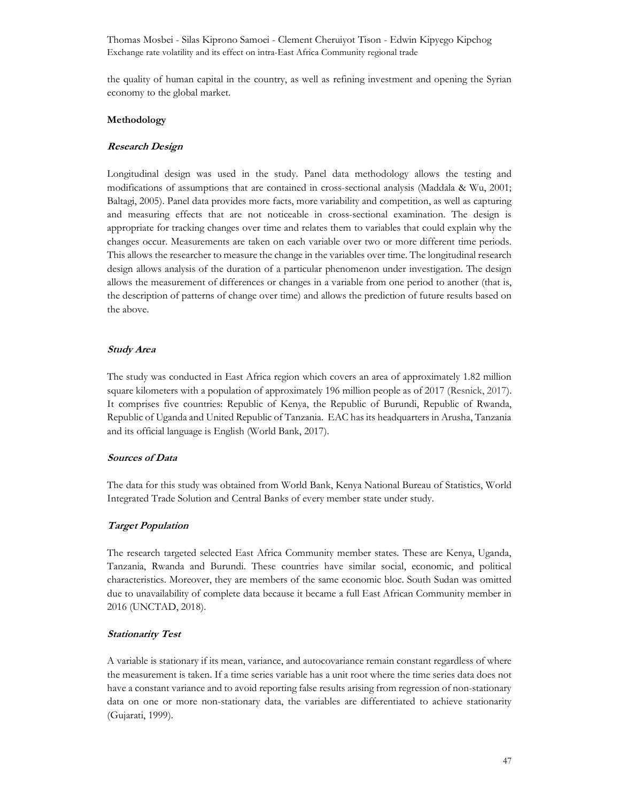the quality of human capital in the country, as well as refining investment and opening the Syrian economy to the global market.

### Methodology

### Research Design

Longitudinal design was used in the study. Panel data methodology allows the testing and modifications of assumptions that are contained in cross-sectional analysis (Maddala & Wu, 2001; Baltagi, 2005). Panel data provides more facts, more variability and competition, as well as capturing and measuring effects that are not noticeable in cross-sectional examination. The design is appropriate for tracking changes over time and relates them to variables that could explain why the changes occur. Measurements are taken on each variable over two or more different time periods. This allows the researcher to measure the change in the variables over time. The longitudinal research design allows analysis of the duration of a particular phenomenon under investigation. The design allows the measurement of differences or changes in a variable from one period to another (that is, the description of patterns of change over time) and allows the prediction of future results based on the above.

### Study Area

The study was conducted in East Africa region which covers an area of approximately 1.82 million square kilometers with a population of approximately 196 million people as of 2017 (Resnick, 2017). It comprises five countries: Republic of Kenya, the Republic of Burundi, Republic of Rwanda, Republic of Uganda and United Republic of Tanzania. EAC has its headquarters in Arusha, Tanzania and its official language is English (World Bank, 2017).

### Sources of Data

The data for this study was obtained from World Bank, Kenya National Bureau of Statistics, World Integrated Trade Solution and Central Banks of every member state under study.

# Target Population

The research targeted selected East Africa Community member states. These are Kenya, Uganda, Tanzania, Rwanda and Burundi. These countries have similar social, economic, and political characteristics. Moreover, they are members of the same economic bloc. South Sudan was omitted due to unavailability of complete data because it became a full East African Community member in 2016 (UNCTAD, 2018).

# Stationarity Test

A variable is stationary if its mean, variance, and autocovariance remain constant regardless of where the measurement is taken. If a time series variable has a unit root where the time series data does not have a constant variance and to avoid reporting false results arising from regression of non-stationary data on one or more non-stationary data, the variables are differentiated to achieve stationarity (Gujarati, 1999).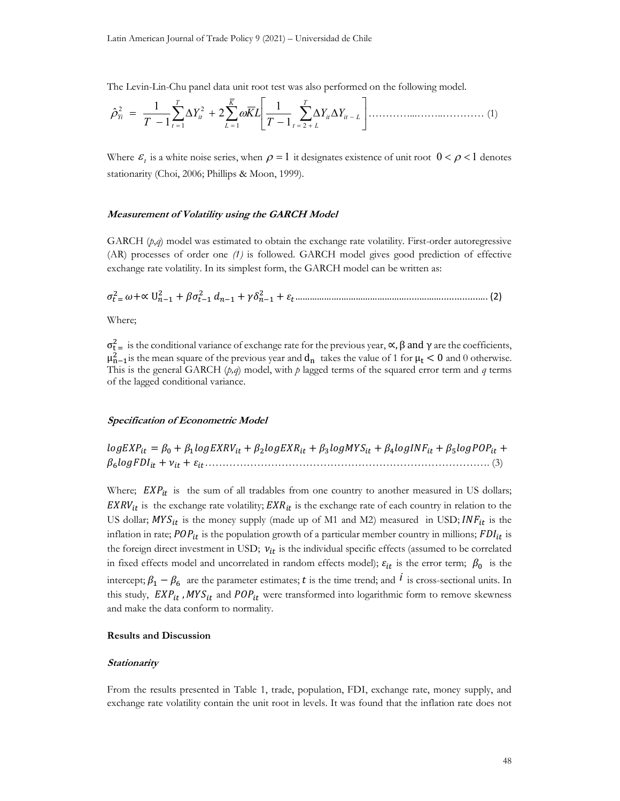The Levin-Lin-Chu panel data unit root test was also performed on the following model.

$$
\hat{\rho}_{Yi}^2 = \frac{1}{T-1} \sum_{t=1}^T \Delta Y_{it}^2 + 2 \sum_{L=1}^{\overline{K}} \omega \overline{K} L \left[ \frac{1}{T-1} \sum_{t=2+L}^T \Delta Y_{it} \Delta Y_{it-L} \right] \dots \dots \dots \dots \dots \dots \dots \dots \dots \dots \dots \dots \tag{1}
$$

Where  $\varepsilon_t$  is a white noise series, when  $\rho = 1$  it designates existence of unit root  $0 < \rho < 1$  denotes stationarity (Choi, 2006; Phillips & Moon, 1999).

### Measurement of Volatility using the GARCH Model

GARCH  $(p,q)$  model was estimated to obtain the exchange rate volatility. First-order autoregressive (AR) processes of order one (1) is followed. GARCH model gives good prediction of effective exchange rate volatility. In its simplest form, the GARCH model can be written as:

<sup>௧</sup> ୀ <sup>ଶ</sup> +∝ Uିଵ <sup>ଶ</sup> + ௧ିଵ <sup>ଶ</sup> ିଵ + ିଵ <sup>ଶ</sup> + ௧……………….……………………….....………..............…. (2)

Where;

 $\sigma_{t}^2$  is the conditional variance of exchange rate for the previous year,  $\alpha$ ,  $\beta$  and  $\gamma$  are the coefficients,  $\mu_{n-1}^2$  is the mean square of the previous year and  $d_n$  takes the value of 1 for  $\mu_t < 0$  and 0 otherwise. This is the general GARCH  $(p,q)$  model, with p lagged terms of the squared error term and q terms of the lagged conditional variance.

#### Specification of Econometric Model

 $logEXP_{it} = \beta_0 + \beta_1 logEXP_{it} + \beta_2 logEXP_{it} + \beta_3 logMY_{it} + \beta_4 logINF_{it} + \beta_5 logPOP_{it} +$  $\beta_6 log FDI_{it} + v_{it} + \varepsilon_{it}$  (3)

Where;  $EXP_{it}$  is the sum of all tradables from one country to another measured in US dollars;  $EXRV_{it}$  is the exchange rate volatility;  $EXR_{it}$  is the exchange rate of each country in relation to the US dollar;  $MYS_{it}$  is the money supply (made up of M1 and M2) measured in USD;  $INF_{it}$  is the inflation in rate;  $POP_{it}$  is the population growth of a particular member country in millions;  $FDI_{it}$  is the foreign direct investment in USD;  $v_{it}$  is the individual specific effects (assumed to be correlated in fixed effects model and uncorrelated in random effects model);  $\varepsilon_{it}$  is the error term;  $\beta_0$  is the intercept;  $\beta_1 - \beta_6$  are the parameter estimates; t is the time trend; and  $i$  is cross-sectional units. In this study,  $EXP_{it}$ ,  $MYS_{it}$  and  $POP_{it}$  were transformed into logarithmic form to remove skewness and make the data conform to normality.

#### Results and Discussion

### **Stationarity**

From the results presented in Table 1, trade, population, FDI, exchange rate, money supply, and exchange rate volatility contain the unit root in levels. It was found that the inflation rate does not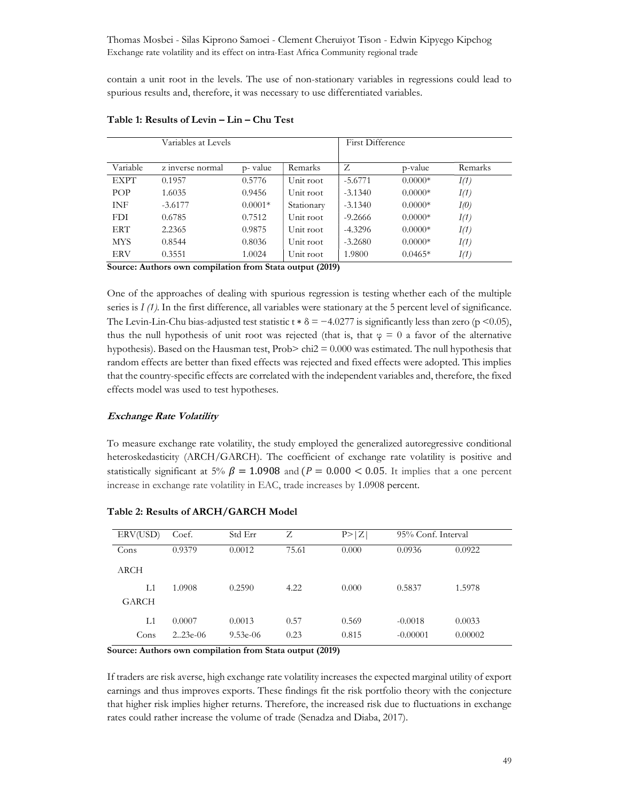contain a unit root in the levels. The use of non-stationary variables in regressions could lead to spurious results and, therefore, it was necessary to use differentiated variables.

| Variables at Levels |                  |           |            | <b>First Difference</b> |           |         |
|---------------------|------------------|-----------|------------|-------------------------|-----------|---------|
|                     |                  |           |            |                         |           |         |
| Variable            | z inverse normal | p-value   | Remarks    | Ζ                       | p-value   | Remarks |
| <b>EXPT</b>         | 0.1957           | 0.5776    | Unit root  | $-5.6771$               | $0.0000*$ | I(1)    |
| POP                 | 1.6035           | 0.9456    | Unit root  | $-3.1340$               | $0.0000*$ | I(1)    |
| <b>INF</b>          | $-3.6177$        | $0.0001*$ | Stationary | $-3.1340$               | $0.0000*$ | I(0)    |
| <b>FDI</b>          | 0.6785           | 0.7512    | Unit root  | $-9.2666$               | $0.0000*$ | I(1)    |
| ERT                 | 2.2365           | 0.9875    | Unit root  | $-4.3296$               | $0.0000*$ | I(1)    |
| <b>MYS</b>          | 0.8544           | 0.8036    | Unit root  | $-3.2680$               | $0.0000*$ | I(1)    |
| <b>ERV</b>          | 0.3551           | 1.0024    | Unit root  | 1.9800                  | $0.0465*$ | I(1)    |

### Table 1: Results of Levin – Lin – Chu Test

Source: Authors own compilation from Stata output (2019)

One of the approaches of dealing with spurious regression is testing whether each of the multiple series is  $I(t)$ . In the first difference, all variables were stationary at the 5 percent level of significance. The Levin-Lin-Chu bias-adjusted test statistic t  $\delta = -4.0277$  is significantly less than zero (p <0.05), thus the null hypothesis of unit root was rejected (that is, that  $\varphi = 0$  a favor of the alternative hypothesis). Based on the Hausman test,  $Prob$  chi $2 = 0.000$  was estimated. The null hypothesis that random effects are better than fixed effects was rejected and fixed effects were adopted. This implies that the country-specific effects are correlated with the independent variables and, therefore, the fixed effects model was used to test hypotheses.

# Exchange Rate Volatility

To measure exchange rate volatility, the study employed the generalized autoregressive conditional heteroskedasticity (ARCH/GARCH). The coefficient of exchange rate volatility is positive and statistically significant at 5%  $\beta = 1.0908$  and (P = 0.000 < 0.05. It implies that a one percent increase in exchange rate volatility in EAC, trade increases by 1.0908 percent.

| ERV(USD) | Coef.      | Std Err    | Ζ     | P >  Z | 95% Conf. Interval |         |
|----------|------------|------------|-------|--------|--------------------|---------|
| Cons     | 0.9379     | 0.0012     | 75.61 | 0.000  | 0.0936             | 0.0922  |
| ARCH     |            |            |       |        |                    |         |
| L1       | 1.0908     | 0.2590     | 4.22  | 0.000  | 0.5837             | 1.5978  |
| GARCH    |            |            |       |        |                    |         |
| L1       | 0.0007     | 0.0013     | 0.57  | 0.569  | $-0.0018$          | 0.0033  |
| Cons     | $2.23e-06$ | $9.53e-06$ | 0.23  | 0.815  | $-0.00001$         | 0.00002 |

### Table 2: Results of ARCH/GARCH Model

Source: Authors own compilation from Stata output (2019)

If traders are risk averse, high exchange rate volatility increases the expected marginal utility of export earnings and thus improves exports. These findings fit the risk portfolio theory with the conjecture that higher risk implies higher returns. Therefore, the increased risk due to fluctuations in exchange rates could rather increase the volume of trade (Senadza and Diaba, 2017).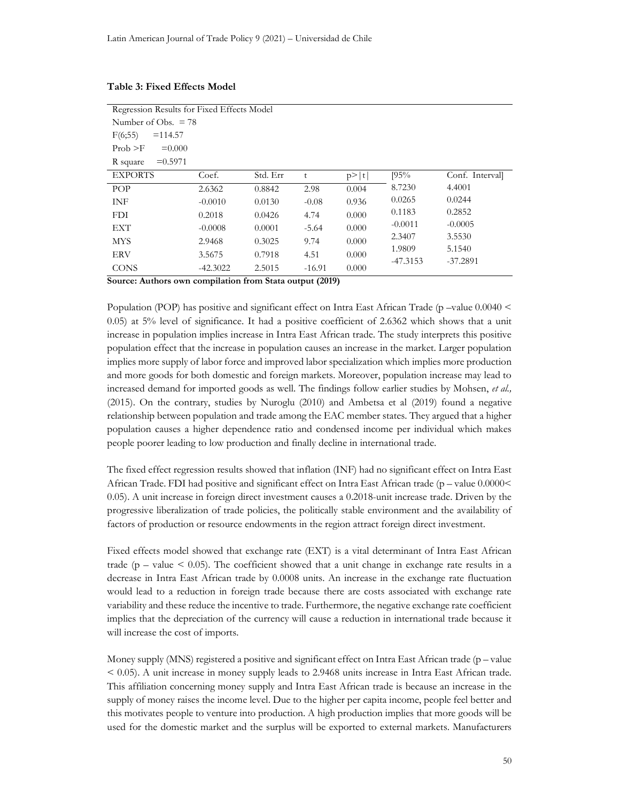| Regression Results for Fixed Effects Model |            |          |          |       |            |                 |  |
|--------------------------------------------|------------|----------|----------|-------|------------|-----------------|--|
| Number of Obs. $= 78$                      |            |          |          |       |            |                 |  |
| F(6;55)<br>$=114.57$                       |            |          |          |       |            |                 |  |
| Prob > F<br>$=0.000$                       |            |          |          |       |            |                 |  |
| $= 0.5971$<br>R square                     |            |          |          |       |            |                 |  |
| <b>EXPORTS</b>                             | Coef.      | Std. Err | t        | p> t  | [95%       | Conf. Intervall |  |
| POP                                        | 2.6362     | 0.8842   | 2.98     | 0.004 | 8.7230     | 4.4001          |  |
| INF                                        | $-0.0010$  | 0.0130   | $-0.08$  | 0.936 | 0.0265     | 0.0244          |  |
| <b>FDI</b>                                 | 0.2018     | 0.0426   | 4.74     | 0.000 | 0.1183     | 0.2852          |  |
| <b>EXT</b>                                 | $-0.0008$  | 0.0001   | $-5.64$  | 0.000 | $-0.0011$  | $-0.0005$       |  |
| <b>MYS</b>                                 | 2.9468     | 0.3025   | 9.74     | 0.000 | 2.3407     | 3.5530          |  |
| <b>ERV</b>                                 | 3.5675     | 0.7918   | 4.51     | 0.000 | 1.9809     | 5.1540          |  |
| <b>CONS</b>                                | $-42.3022$ | 2.5015   | $-16.91$ | 0.000 | $-47.3153$ | $-37.2891$      |  |

#### Table 3: Fixed Effects Model

Source: Authors own compilation from Stata output (2019)

Population (POP) has positive and significant effect on Intra East African Trade (p –value 0.0040 < 0.05) at 5% level of significance. It had a positive coefficient of 2.6362 which shows that a unit increase in population implies increase in Intra East African trade. The study interprets this positive population effect that the increase in population causes an increase in the market. Larger population implies more supply of labor force and improved labor specialization which implies more production and more goods for both domestic and foreign markets. Moreover, population increase may lead to increased demand for imported goods as well. The findings follow earlier studies by Mohsen, et al., (2015). On the contrary, studies by Nuroglu (2010) and Ambetsa et al (2019) found a negative relationship between population and trade among the EAC member states. They argued that a higher population causes a higher dependence ratio and condensed income per individual which makes people poorer leading to low production and finally decline in international trade.

The fixed effect regression results showed that inflation (INF) had no significant effect on Intra East African Trade. FDI had positive and significant effect on Intra East African trade (p – value 0.0000< 0.05). A unit increase in foreign direct investment causes a 0.2018-unit increase trade. Driven by the progressive liberalization of trade policies, the politically stable environment and the availability of factors of production or resource endowments in the region attract foreign direct investment.

Fixed effects model showed that exchange rate (EXT) is a vital determinant of Intra East African trade ( $p$  – value  $\leq$  0.05). The coefficient showed that a unit change in exchange rate results in a decrease in Intra East African trade by 0.0008 units. An increase in the exchange rate fluctuation would lead to a reduction in foreign trade because there are costs associated with exchange rate variability and these reduce the incentive to trade. Furthermore, the negative exchange rate coefficient implies that the depreciation of the currency will cause a reduction in international trade because it will increase the cost of imports.

Money supply (MNS) registered a positive and significant effect on Intra East African trade ( $p$  – value < 0.05). A unit increase in money supply leads to 2.9468 units increase in Intra East African trade. This affiliation concerning money supply and Intra East African trade is because an increase in the supply of money raises the income level. Due to the higher per capita income, people feel better and this motivates people to venture into production. A high production implies that more goods will be used for the domestic market and the surplus will be exported to external markets. Manufacturers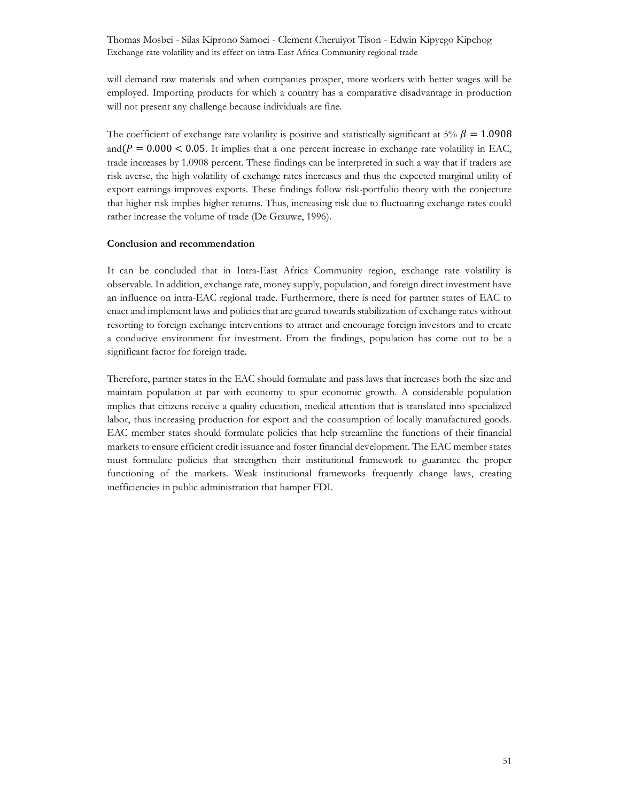will demand raw materials and when companies prosper, more workers with better wages will be employed. Importing products for which a country has a comparative disadvantage in production will not present any challenge because individuals are fine.

The coefficient of exchange rate volatility is positive and statistically significant at 5%  $\beta = 1.0908$ and  $(P = 0.000 < 0.05$ . It implies that a one percent increase in exchange rate volatility in EAC, trade increases by 1.0908 percent. These findings can be interpreted in such a way that if traders are risk averse, the high volatility of exchange rates increases and thus the expected marginal utility of export earnings improves exports. These findings follow risk-portfolio theory with the conjecture that higher risk implies higher returns. Thus, increasing risk due to fluctuating exchange rates could rather increase the volume of trade (De Grauwe, 1996).

#### Conclusion and recommendation

It can be concluded that in Intra-East Africa Community region, exchange rate volatility is observable. In addition, exchange rate, money supply, population, and foreign direct investment have an influence on intra-EAC regional trade. Furthermore, there is need for partner states of EAC to enact and implement laws and policies that are geared towards stabilization of exchange rates without resorting to foreign exchange interventions to attract and encourage foreign investors and to create a conducive environment for investment. From the findings, population has come out to be a significant factor for foreign trade.

Therefore, partner states in the EAC should formulate and pass laws that increases both the size and maintain population at par with economy to spur economic growth. A considerable population implies that citizens receive a quality education, medical attention that is translated into specialized labor, thus increasing production for export and the consumption of locally manufactured goods. EAC member states should formulate policies that help streamline the functions of their financial markets to ensure efficient credit issuance and foster financial development. The EAC member states must formulate policies that strengthen their institutional framework to guarantee the proper functioning of the markets. Weak institutional frameworks frequently change laws, creating inefficiencies in public administration that hamper FDI.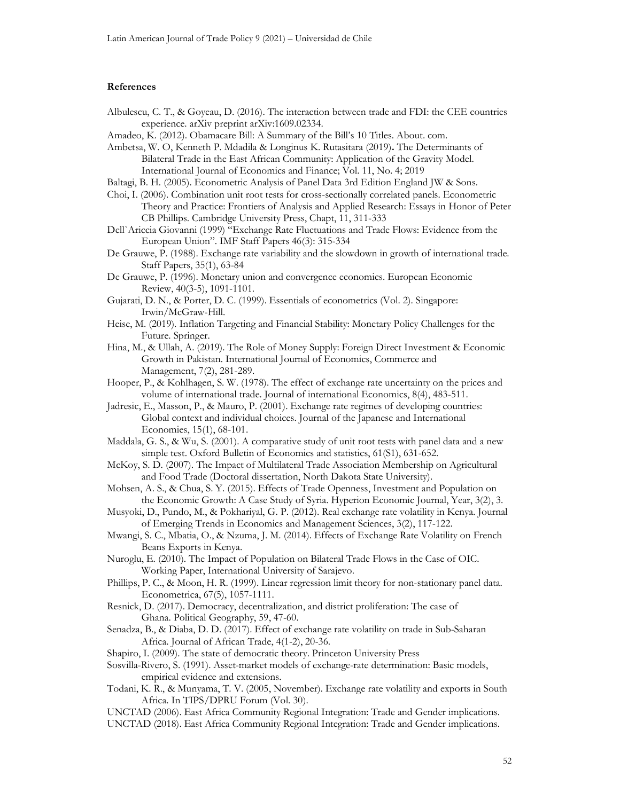#### References

- Albulescu, C. T., & Goyeau, D. (2016). The interaction between trade and FDI: the CEE countries experience. arXiv preprint arXiv:1609.02334.
- Amadeo, K. (2012). Obamacare Bill: A Summary of the Bill's 10 Titles. About. com.
- Ambetsa, W. O, Kenneth P. Mdadila & Longinus K. Rutasitara (2019). The Determinants of Bilateral Trade in the East African Community: Application of the Gravity Model. International Journal of Economics and Finance; Vol. 11, No. 4; 2019
- Baltagi, B. H. (2005). Econometric Analysis of Panel Data 3rd Edition England JW & Sons.
- Choi, I. (2006). Combination unit root tests for cross-sectionally correlated panels. Econometric Theory and Practice: Frontiers of Analysis and Applied Research: Essays in Honor of Peter CB Phillips. Cambridge University Press, Chapt, 11, 311-333
- Dell`Ariccia Giovanni (1999) "Exchange Rate Fluctuations and Trade Flows: Evidence from the European Union". IMF Staff Papers 46(3): 315-334
- De Grauwe, P. (1988). Exchange rate variability and the slowdown in growth of international trade. Staff Papers, 35(1), 63-84
- De Grauwe, P. (1996). Monetary union and convergence economics. European Economic Review, 40(3-5), 1091-1101.
- Gujarati, D. N., & Porter, D. C. (1999). Essentials of econometrics (Vol. 2). Singapore: Irwin/McGraw-Hill.
- Heise, M. (2019). Inflation Targeting and Financial Stability: Monetary Policy Challenges for the Future. Springer.
- Hina, M., & Ullah, A. (2019). The Role of Money Supply: Foreign Direct Investment & Economic Growth in Pakistan. International Journal of Economics, Commerce and Management, 7(2), 281-289.
- Hooper, P., & Kohlhagen, S. W. (1978). The effect of exchange rate uncertainty on the prices and volume of international trade. Journal of international Economics, 8(4), 483-511.
- Jadresic, E., Masson, P., & Mauro, P. (2001). Exchange rate regimes of developing countries: Global context and individual choices. Journal of the Japanese and International Economies, 15(1), 68-101.
- Maddala, G. S., & Wu, S. (2001). A comparative study of unit root tests with panel data and a new simple test. Oxford Bulletin of Economics and statistics, 61(S1), 631-652.
- McKoy, S. D. (2007). The Impact of Multilateral Trade Association Membership on Agricultural and Food Trade (Doctoral dissertation, North Dakota State University).
- Mohsen, A. S., & Chua, S. Y. (2015). Effects of Trade Openness, Investment and Population on the Economic Growth: A Case Study of Syria. Hyperion Economic Journal, Year, 3(2), 3.
- Musyoki, D., Pundo, M., & Pokhariyal, G. P. (2012). Real exchange rate volatility in Kenya. Journal of Emerging Trends in Economics and Management Sciences, 3(2), 117-122.
- Mwangi, S. C., Mbatia, O., & Nzuma, J. M. (2014). Effects of Exchange Rate Volatility on French Beans Exports in Kenya.
- Nuroglu, E. (2010). The Impact of Population on Bilateral Trade Flows in the Case of OIC. Working Paper, International University of Sarajevo.
- Phillips, P. C., & Moon, H. R. (1999). Linear regression limit theory for non-stationary panel data. Econometrica, 67(5), 1057-1111.
- Resnick, D. (2017). Democracy, decentralization, and district proliferation: The case of Ghana. Political Geography, 59, 47-60.
- Senadza, B., & Diaba, D. D. (2017). Effect of exchange rate volatility on trade in Sub-Saharan Africa. Journal of African Trade, 4(1-2), 20-36.
- Shapiro, I. (2009). The state of democratic theory. Princeton University Press
- Sosvilla-Rivero, S. (1991). Asset-market models of exchange-rate determination: Basic models, empirical evidence and extensions.
- Todani, K. R., & Munyama, T. V. (2005, November). Exchange rate volatility and exports in South Africa. In TIPS/DPRU Forum (Vol. 30).
- UNCTAD (2006). East Africa Community Regional Integration: Trade and Gender implications. UNCTAD (2018). East Africa Community Regional Integration: Trade and Gender implications.